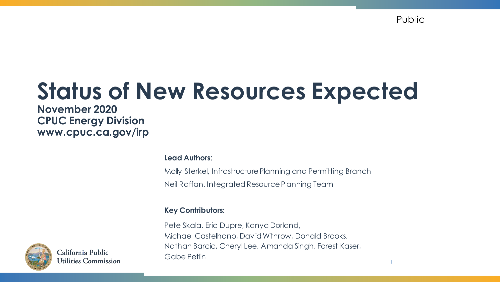Public

1

# **Status of New Resources Expected**

**November 2020 CPUC Energy Division www.cpuc.ca.gov/irp**

**Lead Authors**:

Molly Sterkel, Infrastructure Planning and Permitting Branch Neil Raffan, Integrated Resource Planning Team

#### **Key Contributors:**

Pete Skala, Eric Dupre, Kanya Dorland, Michael Castelhano, David Withrow, Donald Brooks, Nathan Barcic, Cheryl Lee, Amanda Singh, Forest Kaser, Gabe Petlin



California Public Utilities Commission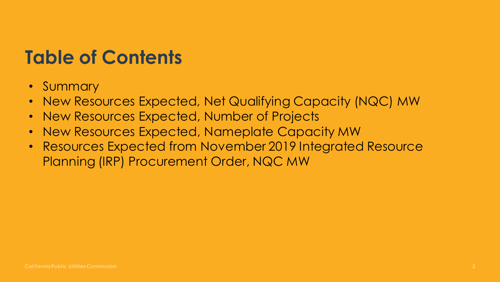### **Table of Contents**

- Summary
- New Resources Expected, Net Qualifying Capacity (NQC) MW
- New Resources Expected, Number of Projects
- New Resources Expected, Nameplate Capacity MW
- Resources Expected from November 2019 Integrated Resource Planning (IRP) Procurement Order, NQC MW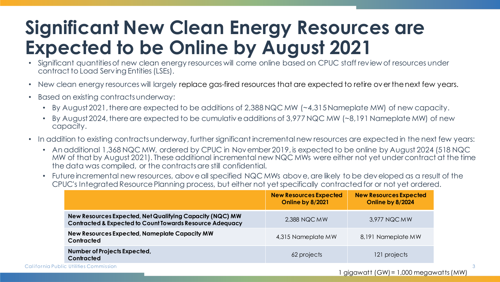### **Significant New Clean Energy Resources are Expected to be Online by August 2021**

- Significant quantities of new clean energy resources will come online based on CPUC staff review of resources under contract to Load Serving Entities (LSEs).
- New clean energy resources will largely replace gas-fired resources that are expected to retire over the next few years.
- Based on existing contracts underway:
	- By August 2021, there are expected to be additions of 2,388 NQC MW (~4,315 Nameplate MW) of new capacity.
	- By August 2024, there are expected to be cumulative additions of 3,977 NQC MW (~8,191 Nameplate MW) of new capacity.
- In addition to existing contracts underway, further significant incremental new resources are expected in the next few years:
	- An additional 1,368 NQC MW, ordered by CPUC in November 2019, is expected to be online by August 2024 (518 NQC MW of that by August 2021). These additional incremental new NQC MWs were either not yet under contract at the time the data was compiled, or the contracts are still confidential.
	- Future incremental new resources, above all specified NQC MWs above, are likely to be developed as a result of the CPUC's Integrated Resource Planning process, but either not yetspecifically contracted for or not yet ordered.

|                                                                                                                                 | <b>New Resources Expected</b><br>Online by 8/2021 | <b>New Resources Expected</b><br>Online by 8/2024 |
|---------------------------------------------------------------------------------------------------------------------------------|---------------------------------------------------|---------------------------------------------------|
| New Resources Expected, Net Qualifying Capacity (NQC) MW<br><b>Contracted &amp; Expected to Count Towards Resource Adequacy</b> | 2,388 NQC MW                                      | 3,977 NQC MW                                      |
| New Resources Expected, Nameplate Capacity MW<br>Contracted                                                                     | 4,315 Nameplate MW                                | 8,191 Nameplate MW                                |
| Number of Projects Expected,<br><b>Contracted</b>                                                                               | 62 projects                                       | 121 projects                                      |

California Public Utilities Commission

3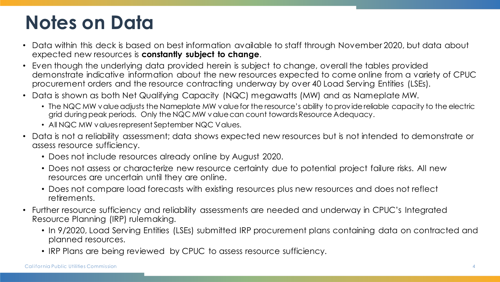### **Notes on Data**

- Data within this deck is based on best information available to staff through November 2020, but data about expected new resources is **constantly subject to change**.
- Even though the underlying data provided herein is subject to change, overall the tables provided demonstrate indicative information about the new resources expected to come online from a variety of CPUC procurement orders and the resource contracting underway by over 40 Load Serving Entities (LSEs).
- Data is shown as both Net Qualifying Capacity (NQC) megawatts (MW) and as Nameplate MW.
	- The NQC MW value adjusts the Nameplate MW value for the resource's ability to provide reliable capacity to the electric grid during peak periods. Only the NQC MW value can count towards Resource Adequacy.
	- All NQC MW values represent September NQC Values.
- Data is not a reliability assessment; data shows expected new resources but is not intended to demonstrate or assess resource sufficiency.
	- Does not include resources already online by August 2020.
	- Does not assess or characterize new resource certainty due to potential project failure risks. All new resources are uncertain until they are online.
	- Does not compare load forecasts with existing resources plus new resources and does not reflect retirements.
- Further resource sufficiency and reliability assessments are needed and underway in CPUC's Integrated Resource Planning (IRP) rulemaking.
	- In 9/2020, Load Serving Entities (LSEs) submitted IRP procurement plans containing data on contracted and planned resources.
	- IRP Plans are being reviewed by CPUC to assess resource sufficiency.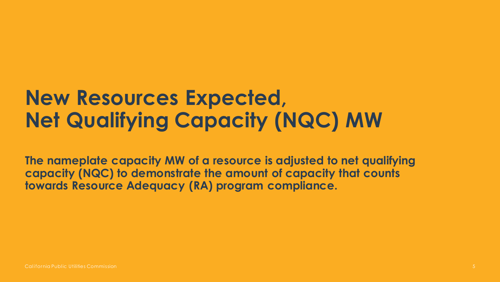## **New Resources Expected, Net Qualifying Capacity (NQC) MW**

**The nameplate capacity MW of a resource is adjusted to net qualifying capacity (NQC) to demonstrate the amount of capacity that counts towards Resource Adequacy (RA) program compliance.**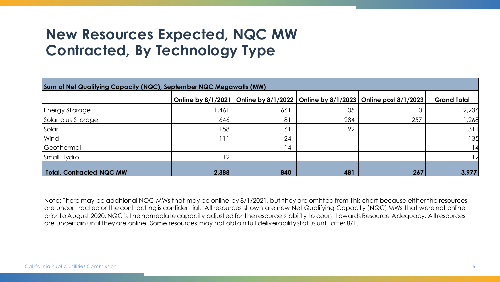#### **New Resources Expected, NQC MW Contracted, By Technology Type**

| Sum of Net Qualifying Capacity (NQC), September NQC Megawatts (MW) |                           |                 |     |                                                                |                    |  |  |  |
|--------------------------------------------------------------------|---------------------------|-----------------|-----|----------------------------------------------------------------|--------------------|--|--|--|
|                                                                    | <b>Online by 8/1/2021</b> |                 |     | Online by 8/1/2022   Online by 8/1/2023   Online post 8/1/2023 | <b>Grand Total</b> |  |  |  |
| Energy Storage                                                     | 461, ا                    | 661             | 105 | 10                                                             | 2,236              |  |  |  |
| Solar plus Storage                                                 | 646                       | 81              | 284 | 257                                                            | ,268               |  |  |  |
| Solar                                                              | 58                        | 61              | 92  |                                                                | 31                 |  |  |  |
| Wind                                                               |                           | 24              |     |                                                                | 135                |  |  |  |
| Geothermal                                                         |                           | $\vert 4 \vert$ |     |                                                                |                    |  |  |  |
| Small Hydro                                                        |                           |                 |     |                                                                | 12                 |  |  |  |
| <b>Total, Contracted NQC MW</b>                                    | 2,388                     | 840             | 481 | 267                                                            | 3,977              |  |  |  |

Note: There may be additional NQC MWs that may be online by 8/1/2021, but they are omitted from this chart because either the resources are uncontracted or the contracting is confidential. All resources shown are new Net Qualifying Capacity (NQC) MWs that were not online prior to August 2020. NQC is the nameplate capacity adjusted for the resource's ability to count towards Resource Adequacy. A ll resources are uncertain until they are online. Some resources may not obtain full deliverability status until after 8/1.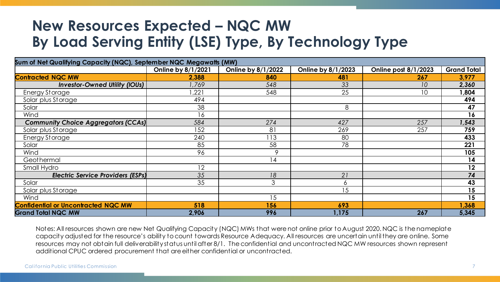#### **New Resources Expected – NQC MW By Load Serving Entity (LSE) Type, By Technology Type**

| Sum of Net Qualifying Capacity (NQC), September NQC Megawatts (MW) |                    |                    |                    |                      |                    |  |
|--------------------------------------------------------------------|--------------------|--------------------|--------------------|----------------------|--------------------|--|
|                                                                    | Online by 8/1/2021 | Online by 8/1/2022 | Online by 8/1/2023 | Online post 8/1/2023 | <b>Grand Total</b> |  |
| <b>Contracted NQC MW</b>                                           | 2,388              | 840                | 481                | 267                  | 3,977              |  |
| <b>Investor-Owned Utility (IOUs)</b>                               | 1,769              | 548                | 33                 | 10                   | 2,360              |  |
| Energy Storage                                                     | ,221               | 548                | 25                 | 10                   | 1,804              |  |
| Solar plus Storage                                                 | 494                |                    |                    |                      | 494                |  |
| Solar                                                              | 38                 |                    | 8                  |                      | 47                 |  |
| Wind                                                               | 16                 |                    |                    |                      | 16                 |  |
| <b>Community Choice Aggregators (CCAs)</b>                         | 584                | 274                | 427                | 257                  | 1,543              |  |
| Solar plus Storage                                                 | 152                | 81                 | 269                | 257                  | 759                |  |
| Energy Storage                                                     | 240                | 113                | 80                 |                      | 433                |  |
| Solar                                                              | 85                 | 58                 | 78                 |                      | 221                |  |
| Wind                                                               | 96                 | 9                  |                    |                      | 105                |  |
| Geothermal                                                         |                    | 14                 |                    |                      | 14                 |  |
| Small Hydro                                                        | 12                 |                    |                    |                      | 12                 |  |
| <b>Electric Service Providers (ESPs)</b>                           | 35                 | 18                 | 21                 |                      | 74                 |  |
| Solar                                                              | 35                 | 3                  | 6                  |                      | 43                 |  |
| Solar plus Storage                                                 |                    |                    | 15                 |                      | 15                 |  |
| Wind                                                               |                    | 15                 |                    |                      | 15                 |  |
| <b>Confidential or Uncontracted NQC MW</b>                         | 518                | 156                | 693                |                      | 1,368              |  |
| <b>Grand Total NQC MW</b>                                          | 2,906              | 996                | 1,175              | 267                  | 5,345              |  |

Notes: All resources shown are new Net Qualifying Capacity (NQC) MWs that were not online prior to August 2020. NQC is the nameplate capacity adjusted for the resource's ability to count towards Resource Adequacy. All resources are uncertain until they are online. Some resources may not obtain full deliverability status until after 8/1. The confidential and uncontracted NQC MW resources shown represent additional CPUC ordered procurement that are either confidential or uncontracted.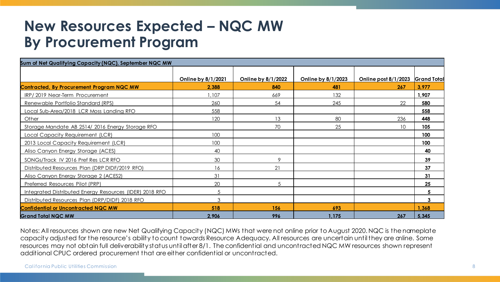#### **New Resources Expected – NQC MW By Procurement Program**

| Sum of Net Qualifying Capacity (NQC), September NQC MW  |                    |                    |                    |                                  |       |  |  |  |
|---------------------------------------------------------|--------------------|--------------------|--------------------|----------------------------------|-------|--|--|--|
|                                                         |                    |                    |                    |                                  |       |  |  |  |
|                                                         | Online by 8/1/2021 | Online by 8/1/2022 | Online by 8/1/2023 | Online post 8/1/2023 Grand Total |       |  |  |  |
| Contracted, By Procurement Program NQC MW               | 2,388              | 840                | 481                | 267                              | 3,977 |  |  |  |
| IRP/2019 Near-Term Procurement                          | 1,107              | 669                | 132                |                                  | 1,907 |  |  |  |
| Renewable Portfolio Standard (RPS)                      | 260                | 54                 | 245                | 22                               | 580   |  |  |  |
| Local Sub-Area/2018 LCR Moss Landing RFO                | 558                |                    |                    |                                  | 558   |  |  |  |
| Other                                                   | 120                | 13                 | 80                 | 236                              | 448   |  |  |  |
| Storage Mandate AB 2514/2016 Energy Storage RFO         |                    | 70                 | 25                 | 10                               | 105   |  |  |  |
| Local Capacity Requirement (LCR)                        | 100                |                    |                    |                                  | 100   |  |  |  |
| 2013 Local Capacity Requirement (LCR)                   | 100                |                    |                    |                                  | 100   |  |  |  |
| Aliso Canyon Energy Storage (ACES)                      | 40                 |                    |                    |                                  | 40    |  |  |  |
| SONGs/Track IV 2016 Pref Res LCR RFO                    | 30                 | 9                  |                    |                                  | 39    |  |  |  |
| Distributed Resources Plan (DRP DIDF/2019 RFO)          | 16                 | 21                 |                    |                                  | 37    |  |  |  |
| Aliso Canyon Energy Storage 2 (ACES2)                   | 31                 |                    |                    |                                  | 31    |  |  |  |
| Preferred Resources Pilot (PRP)                         | 20                 | .5                 |                    |                                  | 25    |  |  |  |
| Integrated Distributed Energy Resources (IDER) 2018 RFO | 5                  |                    |                    |                                  | 5     |  |  |  |
| Distributed Resources Plan (DRP/DIDF) 2018 RFO          | 3                  |                    |                    |                                  | 3     |  |  |  |
| <b>Confidential or Uncontracted NQC MW</b>              | 518                | 156                | 693                |                                  | 1,368 |  |  |  |
| <b>Grand Total NQC MW</b>                               | 2,906              | 996                | 1,175              | 267                              | 5,345 |  |  |  |

Notes: All resources shown are new Net Qualifying Capacity (NQC) MWs that were not online prior to August 2020. NQC is the nameplate capacity adjusted for the resource's ability to count towards Resource Adequacy. All resources are uncertain until they are online. Some resources may not obtain full deliverability status until after 8/1. The confidential and uncontracted NQC MW resources shown represent additional CPUC ordered procurement that are either confidential or uncontracted.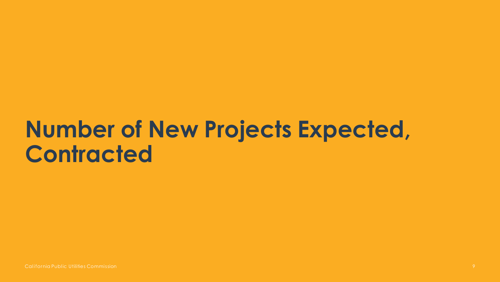# **Number of New Projects Expected, Contracted**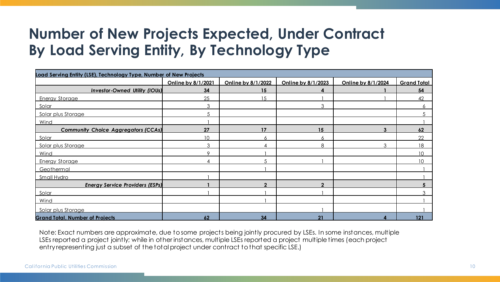#### **Number of New Projects Expected, Under Contract By Load Serving Entity, By Technology Type**

| Load Serving Entity (LSE), Technology Type, Number of New Projects |                    |                    |                    |                    |                    |  |  |
|--------------------------------------------------------------------|--------------------|--------------------|--------------------|--------------------|--------------------|--|--|
|                                                                    | Online by 8/1/2021 | Online by 8/1/2022 | Online by 8/1/2023 | Online by 8/1/2024 | <b>Grand Total</b> |  |  |
| <b>Investor-Owned Utility (IOUs)</b>                               | 34                 | 15                 | 4                  |                    | 54                 |  |  |
| <b>Energy Storage</b>                                              | 25                 | 15                 |                    |                    | 42                 |  |  |
| Solar                                                              | 3                  |                    | 3                  |                    |                    |  |  |
| Solar plus Storage                                                 |                    |                    |                    |                    |                    |  |  |
| Wind                                                               |                    |                    |                    |                    |                    |  |  |
| <b>Community Choice Aggregators (CCAs)</b>                         | 27                 | 17                 | 15                 | 3                  | 62                 |  |  |
| Solar                                                              | 10                 | 6                  | 6.                 |                    | 22                 |  |  |
| Solar plus Storage                                                 | 3                  |                    | 8                  | 3                  | 18                 |  |  |
| Wind                                                               | $\circ$            |                    |                    |                    | 10                 |  |  |
| <b>Energy Storage</b>                                              |                    |                    |                    |                    | 1 <sub>0</sub>     |  |  |
| Geothermal                                                         |                    |                    |                    |                    |                    |  |  |
| Small Hydro                                                        |                    |                    |                    |                    |                    |  |  |
| <b>Energy Service Providers (ESPs)</b>                             |                    | ◠                  | C                  |                    |                    |  |  |
| Solar                                                              |                    |                    |                    |                    |                    |  |  |
| Wind                                                               |                    |                    |                    |                    |                    |  |  |
| Solar plus Storage                                                 |                    |                    |                    |                    |                    |  |  |
| <b>Grand Total, Number of Projects</b>                             | 62                 | 34                 | 21                 |                    | 121                |  |  |

Note: Exact numbers are approximate, due to some projects being jointly procured by LSEs. In some instances, multiple LSEs reported a project jointly; while in other instances, multiple LSEs reported a project multiple times (each project entry representing just a subset of the total project under contract to that specific LSE.)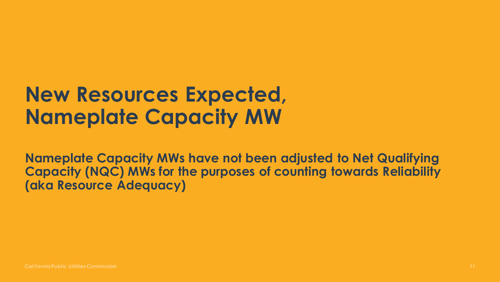### **New Resources Expected, Nameplate Capacity MW**

**Nameplate Capacity MWs have not been adjusted to Net Qualifying Capacity (NQC) MWs for the purposes of counting towards Reliability (aka Resource Adequacy)**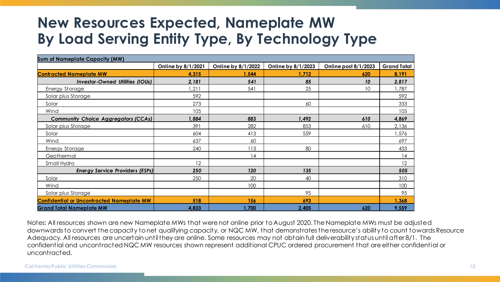#### **New Resources Expected, Nameplate MW By Load Serving Entity Type, By Technology Type**

| <b>Sum of Nameplate Capacity (MW)</b>            |                    |                    |                    |                      |                    |  |
|--------------------------------------------------|--------------------|--------------------|--------------------|----------------------|--------------------|--|
|                                                  | Online by 8/1/2021 | Online by 8/1/2022 | Online by 8/1/2023 | Online post 8/1/2023 | <b>Grand Total</b> |  |
| <b>Contracted Nameplate MW</b>                   | 4,315              | 1,544              | 1,712              | 620                  | 8,191              |  |
| <b>Investor-Owned Utilities (IOUs)</b>           | 2,181              | 541                | 85                 | 10                   | 2,817              |  |
| <b>Energy Storage</b>                            | , 211              | 541                | 25                 | 10                   | ,787               |  |
| Solar plus Storage                               | 592                |                    |                    |                      | 592                |  |
| Solar                                            | 273                |                    | 60                 |                      | 333                |  |
| Wind                                             | 105                |                    |                    |                      | 105                |  |
| <b>Community Choice Aggregators (CCAs)</b>       | ,884               | 883                | 492.               | 610                  | 4,869              |  |
| Solar plus Storage                               | 391                | 282                | 853                | 610                  | 2,136              |  |
| Solar                                            | 604                | 413                | 559                |                      | ,576               |  |
| Wind                                             | 637                | 60                 |                    |                      | 697                |  |
| <b>Energy Storage</b>                            | 240                | 113                | 80                 |                      | 433                |  |
| Geothermal                                       |                    | 14                 |                    |                      | 14                 |  |
| Small Hydro                                      | 12                 |                    |                    |                      | 12                 |  |
| <b>Energy Service Providers (ESPs)</b>           | 250                | 120                | 135                |                      | 505                |  |
| Solar                                            | 250                | 20                 | 40                 |                      | 310                |  |
| Wind                                             |                    | 100                |                    |                      | 100                |  |
| Solar plus Storage                               |                    |                    | 95                 |                      | 95                 |  |
| <b>Confidential or Uncontracted Nameplate MW</b> | 518                | 156                | 693                |                      | 1,368              |  |
| <b>Grand Total Nameplate MW</b>                  | 4,833              | 1,700              | 2,405              | 620                  | 9,559              |  |

Notes: All resources shown are new Nameplate MWs that were not online prior to August 2020. The Nameplate MWs must be adjusted downwards to convert the capacity to net qualifying capacity, or NQC MW, that demonstrates the resource's ability to count towards Resource Adequacy. All resources are uncertain until they are online. Some resources may not obtain full deliverability status until after 8/1. The confidential and uncontracted NQC MW resources shown represent additional CPUC ordered procurement that are either confidential or uncontracted.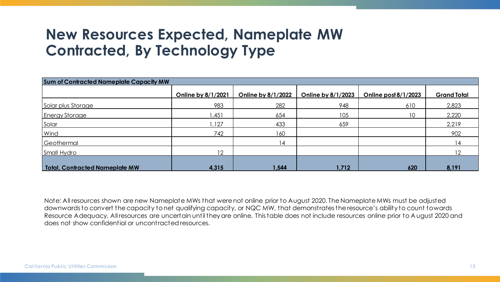#### **New Resources Expected, Nameplate MW Contracted, By Technology Type**

| <b>Sum of Contracted Nameplate Capacity MW</b> |                    |                    |                    |                        |                    |  |  |
|------------------------------------------------|--------------------|--------------------|--------------------|------------------------|--------------------|--|--|
|                                                | Online by 8/1/2021 | Online by 8/1/2022 | Online by 8/1/2023 | Online post $8/1/2023$ | <b>Grand Total</b> |  |  |
| Solar plus Storage                             | 983                | 282                | 948                | 610                    | 2,823              |  |  |
| <b>Energy Storage</b>                          | ,451               | 654                | 105                | 10 <sup>°</sup>        | 2,220              |  |  |
| Solar                                          | ,127               | 433                | 659                |                        | 2,219              |  |  |
| Wind                                           | 742                | 160                |                    |                        | 902                |  |  |
| Geothermal                                     |                    | 14                 |                    |                        |                    |  |  |
| Small Hydro                                    | 12                 |                    |                    |                        |                    |  |  |
| Total, Contracted Nameplate MW                 | 4,315              | 1,544              | 1,712              | 620                    | 8,191              |  |  |

Note: All resources shown are new Nameplate MWs that were not online prior to August 2020. The Nameplate MWs must be adjusted downwards to convert the capacity to net qualifying capacity, or NQC MW, that demonstrates the resource's ability to count towards Resource Adequacy. All resources are uncertain until they are online. This table does not include resources online prior to A ugust 2020 and does not show confidential or uncontracted resources.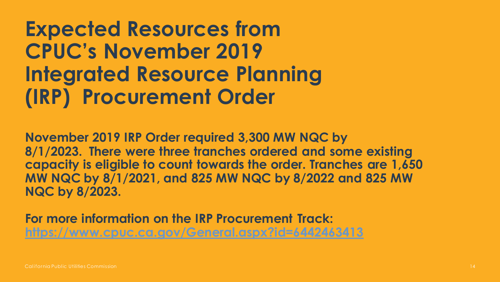**Expected Resources from CPUC's November 2019 Integrated Resource Planning (IRP) Procurement Order** 

**November 2019 IRP Order required 3,300 MW NQC by 8/1/2023. There were three tranches ordered and some existing capacity is eligible to count towards the order. Tranches are 1,650 MW NQC by 8/1/2021, and 825 MW NQC by 8/2022 and 825 MW NQC by 8/2023.** 

**For more information on the IRP Procurement Track: <https://www.cpuc.ca.gov/General.aspx?id=6442463413>**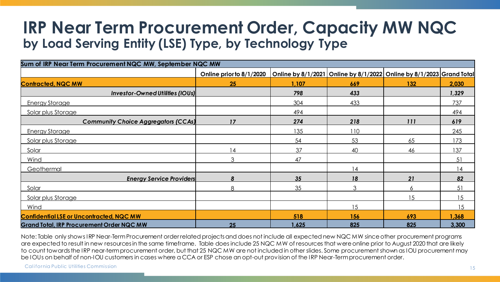### **IRP Near Term Procurement Order, Capacity MW NQC by Load Serving Entity (LSE) Type, by Technology Type**

| Sum of IRP Near Term Procurement NQC MW, September NQC MW |                          |       |                                                                      |     |       |  |  |  |
|-----------------------------------------------------------|--------------------------|-------|----------------------------------------------------------------------|-----|-------|--|--|--|
|                                                           | Online prior to 8/1/2020 |       | Online by 8/1/2021 Online by 8/1/2022 Online by 8/1/2023 Grand Total |     |       |  |  |  |
| <b>Contracted, NQC MW</b>                                 | 25                       | 1,107 | 669                                                                  | 132 | 2,030 |  |  |  |
| <b>Investor-Owned Utilities (IOUs)</b>                    |                          | 798   | 433                                                                  |     | 1,329 |  |  |  |
| <b>Energy Storage</b>                                     |                          | 304   | 433                                                                  |     | 737   |  |  |  |
| Solar plus Storage                                        |                          | 494   |                                                                      |     | 494   |  |  |  |
| <b>Community Choice Aggregators (CCAs)</b>                | 17                       | 274   | 218                                                                  | 111 | 619   |  |  |  |
| <b>Energy Storage</b>                                     |                          | 135   | 110                                                                  |     | 245   |  |  |  |
| Solar plus Storage                                        |                          | 54    | 53                                                                   | 65  | 173   |  |  |  |
| Solar                                                     | 14                       | 37    | 40                                                                   | 46  | 137   |  |  |  |
| Wind                                                      | $\mathfrak{Z}$           | 47    |                                                                      |     | 51    |  |  |  |
| Geothermal                                                |                          |       | 14                                                                   |     | 14    |  |  |  |
| <b>Energy Service Providers</b>                           | Я                        | 35    | 18                                                                   | 21  | 82    |  |  |  |
| Solar                                                     | $\mathsf{R}$             | 35    | 3                                                                    | 6   | 51    |  |  |  |
| Solar plus Storage                                        |                          |       |                                                                      | 15  | 15    |  |  |  |
| Wind                                                      |                          |       | 15                                                                   |     | 15    |  |  |  |
| <b>Confidential LSE or Uncontracted, NQC MW</b>           |                          | 518   | 156                                                                  | 693 | 1,368 |  |  |  |
| <b>Grand Total, IRP Procurement Order NQC MW</b>          | 25                       | 1,625 | 825                                                                  | 825 | 3,300 |  |  |  |

Note: Table only shows IRP Near-Term Procurement order related projects and does not include all expected new NQC MW since other procurement programs are expected to result in new resources in the same timeframe. Table does include 25 NQC MW of resources that were online prior to August 2020 that are likely to count towards the IRP near-term procurement order, but that 25 NQC MW are not included in other slides. Some procurement shown as IOU procurement may be IOUs on behalf of non-IOU customers in cases where a CCA or ESP chose an opt-out provision of the IRP Near-Term procurement order.

California Public Utilities Commission 15